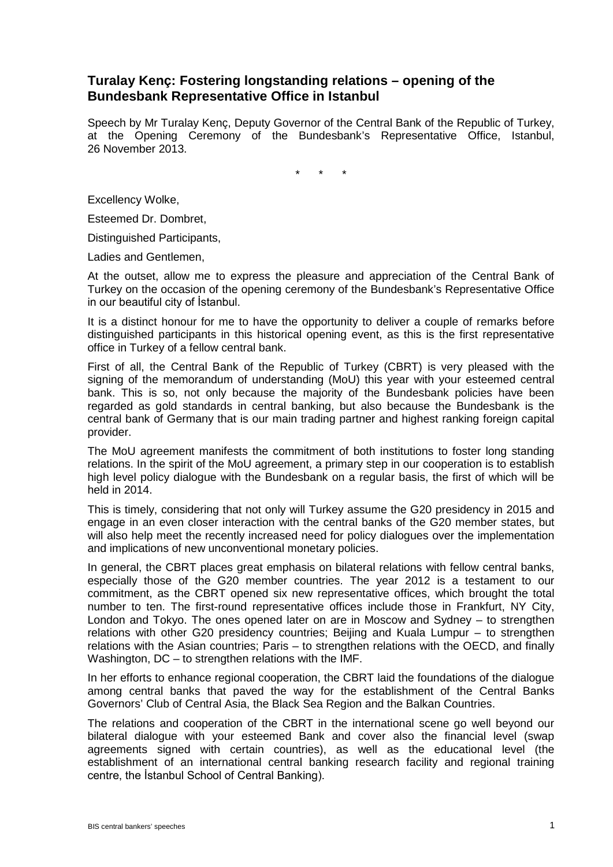## **Turalay Kenç: Fostering longstanding relations – opening of the Bundesbank Representative Office in Istanbul**

Speech by Mr Turalay Kenç, Deputy Governor of the Central Bank of the Republic of Turkey, at the Opening Ceremony of the Bundesbank's Representative Office, Istanbul, 26 November 2013.

\* \* \*

Excellency Wolke,

Esteemed Dr. Dombret,

Distinguished Participants,

Ladies and Gentlemen,

At the outset, allow me to express the pleasure and appreciation of the Central Bank of Turkey on the occasion of the opening ceremony of the Bundesbank's Representative Office in our beautiful city of İstanbul.

It is a distinct honour for me to have the opportunity to deliver a couple of remarks before distinguished participants in this historical opening event, as this is the first representative office in Turkey of a fellow central bank.

First of all, the Central Bank of the Republic of Turkey (CBRT) is very pleased with the signing of the memorandum of understanding (MoU) this year with your esteemed central bank. This is so, not only because the majority of the Bundesbank policies have been regarded as gold standards in central banking, but also because the Bundesbank is the central bank of Germany that is our main trading partner and highest ranking foreign capital provider.

The MoU agreement manifests the commitment of both institutions to foster long standing relations. In the spirit of the MoU agreement, a primary step in our cooperation is to establish high level policy dialogue with the Bundesbank on a regular basis, the first of which will be held in 2014.

This is timely, considering that not only will Turkey assume the G20 presidency in 2015 and engage in an even closer interaction with the central banks of the G20 member states, but will also help meet the recently increased need for policy dialogues over the implementation and implications of new unconventional monetary policies.

In general, the CBRT places great emphasis on bilateral relations with fellow central banks, especially those of the G20 member countries. The year 2012 is a testament to our commitment, as the CBRT opened six new representative offices, which brought the total number to ten. The first-round representative offices include those in Frankfurt, NY City, London and Tokyo. The ones opened later on are in Moscow and Sydney – to strengthen relations with other G20 presidency countries; Beijing and Kuala Lumpur – to strengthen relations with the Asian countries; Paris – to strengthen relations with the OECD, and finally Washington, DC – to strengthen relations with the IMF.

In her efforts to enhance regional cooperation, the CBRT laid the foundations of the dialogue among central banks that paved the way for the establishment of the Central Banks Governors' Club of Central Asia, the Black Sea Region and the Balkan Countries.

The relations and cooperation of the CBRT in the international scene go well beyond our bilateral dialogue with your esteemed Bank and cover also the financial level (swap agreements signed with certain countries), as well as the educational level (the establishment of an international central banking research facility and regional training centre, the İstanbul School of Central Banking).